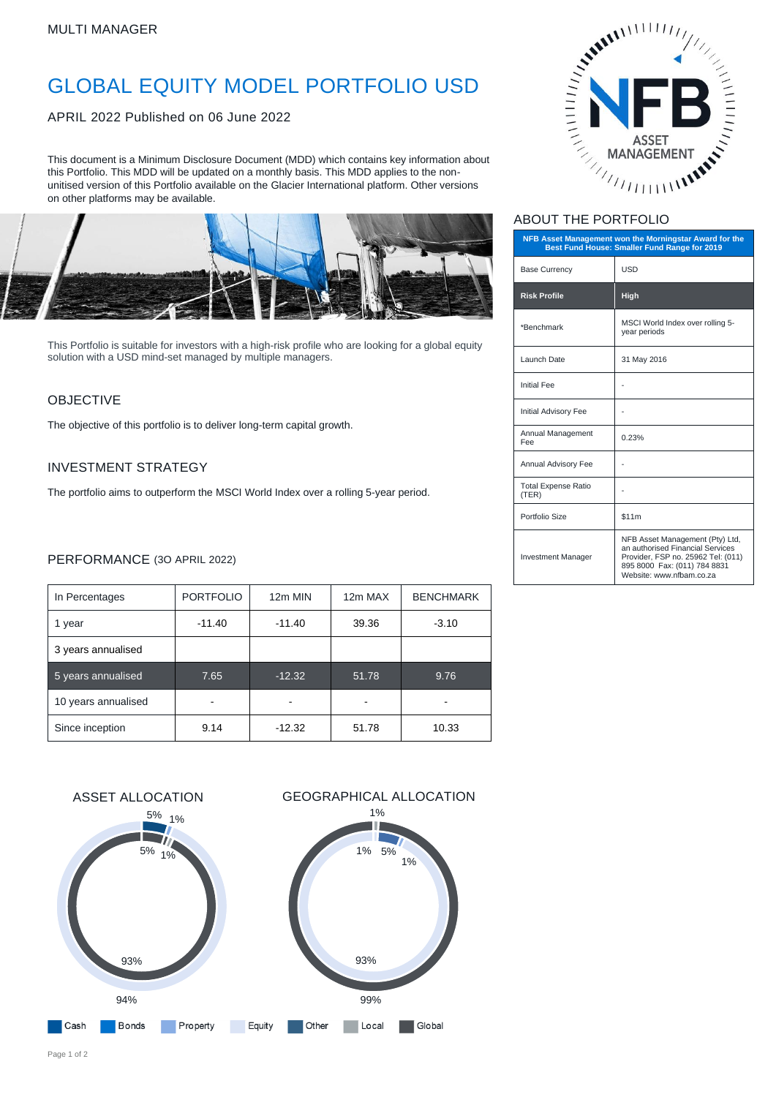# GLOBAL EQUITY MODEL PORTFOLIO USD

APRIL 2022 Published on 06 June 2022

This document is a Minimum Disclosure Document (MDD) which contains key information about this Portfolio. This MDD will be updated on a monthly basis. This MDD applies to the nonunitised version of this Portfolio available on the Glacier International platform. Other versions on other platforms may be available.



This Portfolio is suitable for investors with a high-risk profile who are looking for a global equity solution with a USD mind-set managed by multiple managers.

### **OBJECTIVE**

The objective of this portfolio is to deliver long-term capital growth.

#### INVESTMENT STRATEGY

The portfolio aims to outperform the MSCI World Index over a rolling 5-year period.

### PERFORMANCE (3O APRIL 2022)

| In Percentages      | <b>PORTFOLIO</b> | 12m MIN  | 12m MAX | <b>BENCHMARK</b> |
|---------------------|------------------|----------|---------|------------------|
| 1 year              | $-11.40$         | $-11.40$ | 39.36   | $-3.10$          |
| 3 years annualised  |                  |          |         |                  |
| 5 years annualised  | 7.65             | $-12.32$ | 51.78   | 9.76             |
| 10 years annualised |                  |          |         |                  |
| Since inception     | 9.14             | $-12.32$ | 51.78   | 10.33            |





# ABOUT THE PORTFOLIO

| NFB Asset Management won the Morningstar Award for the<br>Best Fund House: Smaller Fund Range for 2019 |                                                                                                                                                                       |  |  |
|--------------------------------------------------------------------------------------------------------|-----------------------------------------------------------------------------------------------------------------------------------------------------------------------|--|--|
| <b>Base Currency</b>                                                                                   | <b>USD</b>                                                                                                                                                            |  |  |
| <b>Risk Profile</b>                                                                                    | High                                                                                                                                                                  |  |  |
| *Benchmark                                                                                             | MSCI World Index over rolling 5-<br>year periods                                                                                                                      |  |  |
| Launch Date                                                                                            | 31 May 2016                                                                                                                                                           |  |  |
| <b>Initial Fee</b>                                                                                     |                                                                                                                                                                       |  |  |
| Initial Advisory Fee                                                                                   |                                                                                                                                                                       |  |  |
| Annual Management<br>Fee                                                                               | 0.23%                                                                                                                                                                 |  |  |
| Annual Advisory Fee                                                                                    |                                                                                                                                                                       |  |  |
| <b>Total Expense Ratio</b><br>(TER)                                                                    |                                                                                                                                                                       |  |  |
| Portfolio Size                                                                                         | \$11m                                                                                                                                                                 |  |  |
| <b>Investment Manager</b>                                                                              | NFB Asset Management (Pty) Ltd,<br>an authorised Financial Services<br>Provider, FSP no. 25962 Tel: (011)<br>895 8000 Fax: (011) 784 8831<br>Website: www.nfbam.co.za |  |  |